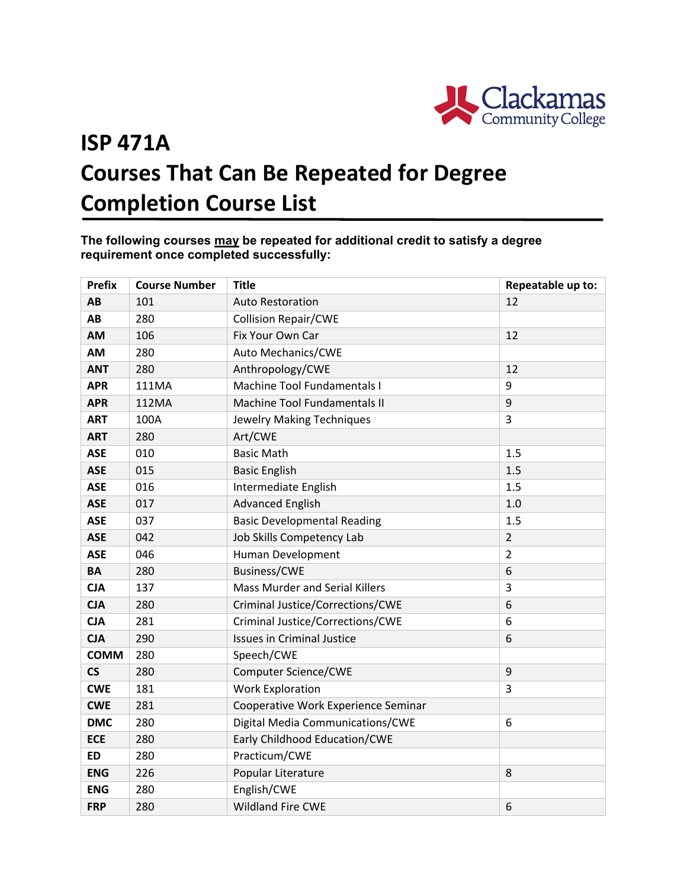

## **ISP 471A Courses That Can Be Repeated for Degree Completion Course List**

**The following courses may be repeated for additional credit to satisfy a degree requirement once completed successfully:**

| <b>Prefix</b>            | <b>Course Number</b> | <b>Title</b>                        | Repeatable up to: |
|--------------------------|----------------------|-------------------------------------|-------------------|
| AB                       | 101                  | <b>Auto Restoration</b>             | 12                |
| AB                       | 280                  | <b>Collision Repair/CWE</b>         |                   |
| AM                       | 106                  | Fix Your Own Car                    | 12                |
| AM                       | 280                  | Auto Mechanics/CWE                  |                   |
| <b>ANT</b>               | 280                  | Anthropology/CWE                    | 12                |
| <b>APR</b>               | 111MA                | Machine Tool Fundamentals I         | 9                 |
| <b>APR</b>               | 112MA                | <b>Machine Tool Fundamentals II</b> | 9                 |
| <b>ART</b>               | 100A                 | Jewelry Making Techniques           | 3                 |
| <b>ART</b>               | 280                  | Art/CWE                             |                   |
| <b>ASE</b>               | 010                  | <b>Basic Math</b>                   | 1.5               |
| <b>ASE</b>               | 015                  | <b>Basic English</b>                | 1.5               |
| <b>ASE</b>               | 016                  | Intermediate English                | 1.5               |
| <b>ASE</b>               | 017                  | <b>Advanced English</b>             | 1.0               |
| <b>ASE</b>               | 037                  | <b>Basic Developmental Reading</b>  | 1.5               |
| <b>ASE</b>               | 042                  | Job Skills Competency Lab           | $\overline{2}$    |
| <b>ASE</b>               | 046                  | Human Development                   | $\overline{2}$    |
| BA                       | 280                  | <b>Business/CWE</b>                 | 6                 |
| <b>CJA</b>               | 137                  | Mass Murder and Serial Killers      | 3                 |
| <b>CJA</b>               | 280                  | Criminal Justice/Corrections/CWE    | 6                 |
| <b>CJA</b>               | 281                  | Criminal Justice/Corrections/CWE    | 6                 |
| <b>CJA</b>               | 290                  | <b>Issues in Criminal Justice</b>   | 6                 |
| <b>COMM</b>              | 280                  | Speech/CWE                          |                   |
| $\mathsf{CS}\phantom{0}$ | 280                  | Computer Science/CWE                | 9                 |
| <b>CWE</b>               | 181                  | <b>Work Exploration</b>             | 3                 |
| <b>CWE</b>               | 281                  | Cooperative Work Experience Seminar |                   |
| <b>DMC</b>               | 280                  | Digital Media Communications/CWE    | 6                 |
| <b>ECE</b>               | 280                  | Early Childhood Education/CWE       |                   |
| <b>ED</b>                | 280                  | Practicum/CWE                       |                   |
| <b>ENG</b>               | 226                  | Popular Literature                  | 8                 |
| <b>ENG</b>               | 280                  | English/CWE                         |                   |
| <b>FRP</b>               | 280                  | <b>Wildland Fire CWE</b>            | 6                 |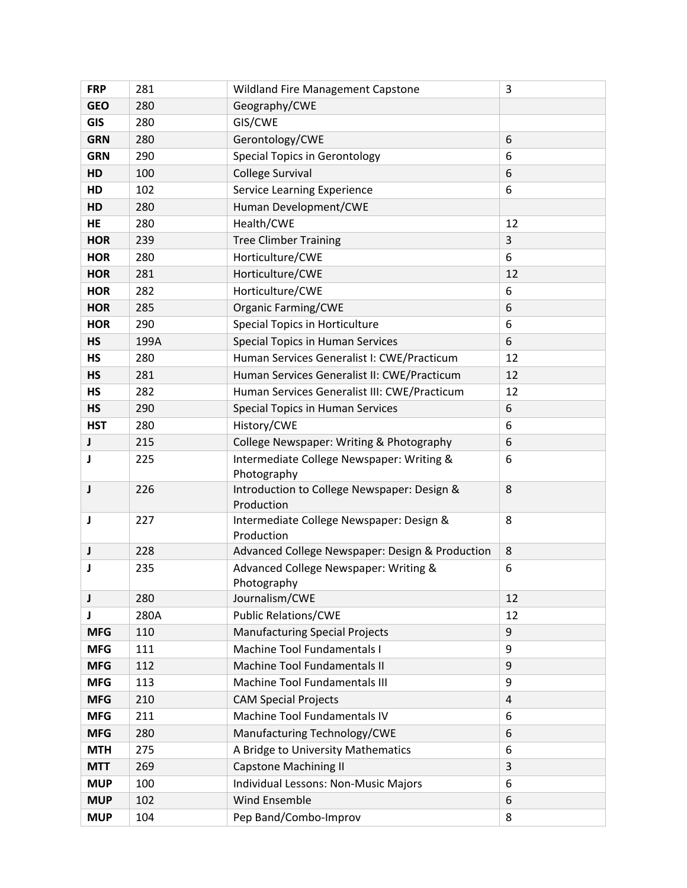| <b>FRP</b> | 281  | Wildland Fire Management Capstone                         | 3              |
|------------|------|-----------------------------------------------------------|----------------|
| <b>GEO</b> | 280  | Geography/CWE                                             |                |
| <b>GIS</b> | 280  | GIS/CWE                                                   |                |
| <b>GRN</b> | 280  | Gerontology/CWE                                           | 6              |
| <b>GRN</b> | 290  | <b>Special Topics in Gerontology</b>                      | 6              |
| HD         | 100  | College Survival                                          | 6              |
| HD         | 102  | Service Learning Experience                               | 6              |
| HD         | 280  | Human Development/CWE                                     |                |
| <b>HE</b>  | 280  | Health/CWE                                                | 12             |
| <b>HOR</b> | 239  | <b>Tree Climber Training</b>                              | $\overline{3}$ |
| <b>HOR</b> | 280  | Horticulture/CWE                                          | 6              |
| <b>HOR</b> | 281  | Horticulture/CWE                                          | 12             |
| <b>HOR</b> | 282  | Horticulture/CWE                                          | 6              |
| <b>HOR</b> | 285  | <b>Organic Farming/CWE</b>                                | 6              |
| <b>HOR</b> | 290  | Special Topics in Horticulture                            | 6              |
| <b>HS</b>  | 199A | <b>Special Topics in Human Services</b>                   | 6              |
| <b>HS</b>  | 280  | Human Services Generalist I: CWE/Practicum                | 12             |
| <b>HS</b>  | 281  | Human Services Generalist II: CWE/Practicum               | 12             |
| <b>HS</b>  | 282  | Human Services Generalist III: CWE/Practicum              | 12             |
| <b>HS</b>  | 290  | Special Topics in Human Services                          | 6              |
| <b>HST</b> | 280  | History/CWE                                               | 6              |
| J          | 215  | College Newspaper: Writing & Photography                  | 6              |
| J          | 225  | Intermediate College Newspaper: Writing &<br>Photography  | 6              |
| J          | 226  | Introduction to College Newspaper: Design &<br>Production | 8              |
| J          | 227  | Intermediate College Newspaper: Design &<br>Production    | 8              |
| J          | 228  | Advanced College Newspaper: Design & Production           | 8              |
| J          | 235  | Advanced College Newspaper: Writing &<br>Photography      | 6              |
| J          | 280  | Journalism/CWE                                            | 12             |
| J          | 280A | <b>Public Relations/CWE</b>                               | 12             |
| <b>MFG</b> | 110  | <b>Manufacturing Special Projects</b>                     | 9              |
| <b>MFG</b> | 111  | Machine Tool Fundamentals I                               | 9              |
| <b>MFG</b> | 112  | Machine Tool Fundamentals II                              | 9              |
| <b>MFG</b> | 113  | Machine Tool Fundamentals III                             | 9              |
| <b>MFG</b> | 210  | <b>CAM Special Projects</b>                               | 4              |
| <b>MFG</b> | 211  | Machine Tool Fundamentals IV                              | 6              |
| <b>MFG</b> | 280  | Manufacturing Technology/CWE                              | 6              |
| <b>MTH</b> | 275  | A Bridge to University Mathematics                        | 6              |
| <b>MTT</b> | 269  | <b>Capstone Machining II</b>                              | 3              |
| <b>MUP</b> | 100  | Individual Lessons: Non-Music Majors                      | 6              |
| <b>MUP</b> | 102  | Wind Ensemble                                             | 6              |
| <b>MUP</b> | 104  | Pep Band/Combo-Improv                                     | 8              |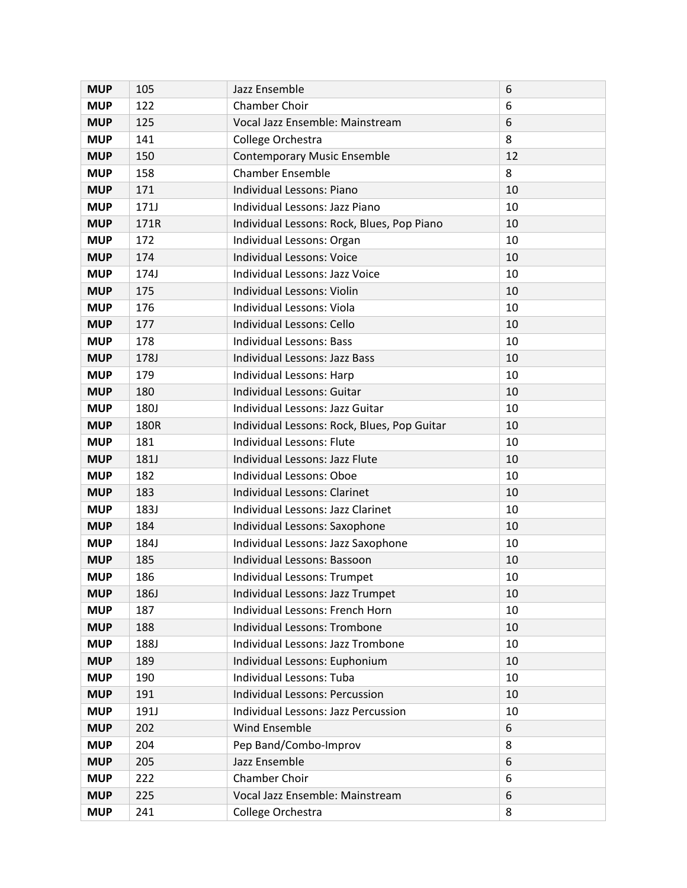| <b>MUP</b> | 105         | Jazz Ensemble                               | 6  |
|------------|-------------|---------------------------------------------|----|
| <b>MUP</b> | 122         | <b>Chamber Choir</b>                        | 6  |
| <b>MUP</b> | 125         | Vocal Jazz Ensemble: Mainstream             | 6  |
| <b>MUP</b> | 141         | College Orchestra                           | 8  |
| <b>MUP</b> | 150         | <b>Contemporary Music Ensemble</b>          | 12 |
| <b>MUP</b> | 158         | <b>Chamber Ensemble</b>                     | 8  |
| <b>MUP</b> | 171         | Individual Lessons: Piano                   | 10 |
| <b>MUP</b> | 171J        | Individual Lessons: Jazz Piano              | 10 |
| <b>MUP</b> | 171R        | Individual Lessons: Rock, Blues, Pop Piano  | 10 |
| <b>MUP</b> | 172         | Individual Lessons: Organ                   | 10 |
| <b>MUP</b> | 174         | <b>Individual Lessons: Voice</b>            | 10 |
| <b>MUP</b> | 174J        | Individual Lessons: Jazz Voice              | 10 |
| <b>MUP</b> | 175         | Individual Lessons: Violin                  | 10 |
| <b>MUP</b> | 176         | Individual Lessons: Viola                   | 10 |
| <b>MUP</b> | 177         | Individual Lessons: Cello                   | 10 |
| <b>MUP</b> | 178         | <b>Individual Lessons: Bass</b>             | 10 |
| <b>MUP</b> | 178J        | <b>Individual Lessons: Jazz Bass</b>        | 10 |
| <b>MUP</b> | 179         | Individual Lessons: Harp                    | 10 |
| <b>MUP</b> | 180         | Individual Lessons: Guitar                  | 10 |
| <b>MUP</b> | <b>180J</b> | Individual Lessons: Jazz Guitar             | 10 |
| <b>MUP</b> | 180R        | Individual Lessons: Rock, Blues, Pop Guitar | 10 |
| <b>MUP</b> | 181         | Individual Lessons: Flute                   | 10 |
| <b>MUP</b> | 181J        | Individual Lessons: Jazz Flute              | 10 |
| <b>MUP</b> | 182         | <b>Individual Lessons: Oboe</b>             | 10 |
| <b>MUP</b> | 183         | Individual Lessons: Clarinet                | 10 |
| <b>MUP</b> | 183J        | Individual Lessons: Jazz Clarinet           | 10 |
| <b>MUP</b> | 184         | Individual Lessons: Saxophone               | 10 |
| <b>MUP</b> | 184J        | Individual Lessons: Jazz Saxophone          | 10 |
| <b>MUP</b> | 185         | Individual Lessons: Bassoon                 | 10 |
| <b>MUP</b> | 186         | Individual Lessons: Trumpet                 | 10 |
| <b>MUP</b> | 186J        | Individual Lessons: Jazz Trumpet            | 10 |
| <b>MUP</b> | 187         | Individual Lessons: French Horn             | 10 |
| <b>MUP</b> | 188         | Individual Lessons: Trombone                | 10 |
| <b>MUP</b> | 188J        | Individual Lessons: Jazz Trombone           | 10 |
| <b>MUP</b> | 189         | Individual Lessons: Euphonium               | 10 |
| <b>MUP</b> | 190         | Individual Lessons: Tuba                    | 10 |
| <b>MUP</b> | 191         | <b>Individual Lessons: Percussion</b>       | 10 |
| <b>MUP</b> | 191J        | Individual Lessons: Jazz Percussion         | 10 |
| <b>MUP</b> | 202         | Wind Ensemble                               | 6  |
| <b>MUP</b> | 204         | Pep Band/Combo-Improv                       | 8  |
| <b>MUP</b> | 205         | Jazz Ensemble                               | 6  |
| <b>MUP</b> | 222         | Chamber Choir                               | 6  |
| <b>MUP</b> | 225         | Vocal Jazz Ensemble: Mainstream             | 6  |
| <b>MUP</b> | 241         | College Orchestra                           | 8  |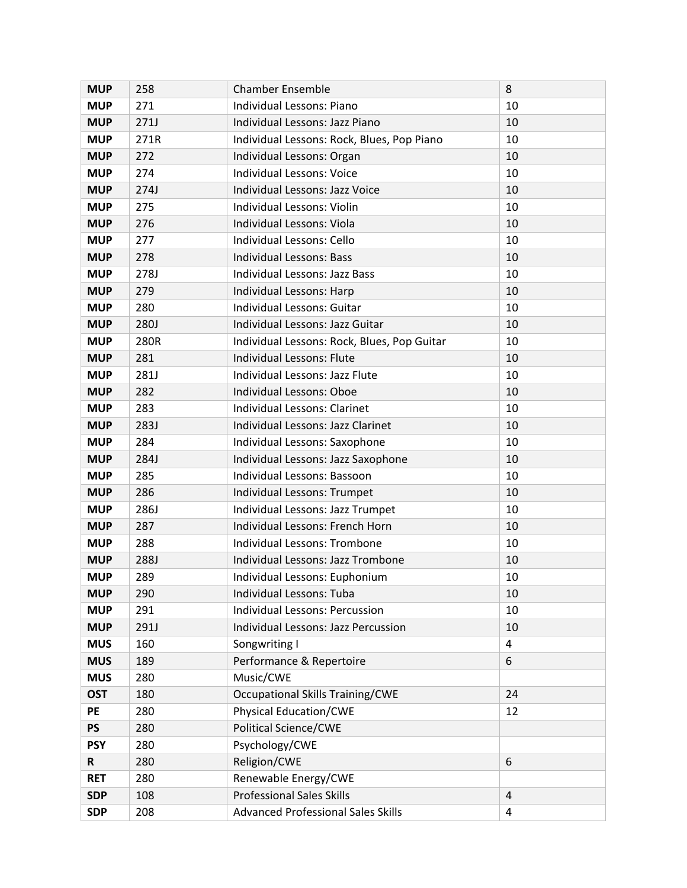| <b>MUP</b> | 258         | <b>Chamber Ensemble</b>                     | 8                       |
|------------|-------------|---------------------------------------------|-------------------------|
| <b>MUP</b> | 271         | Individual Lessons: Piano                   | 10                      |
| <b>MUP</b> | 271J        | Individual Lessons: Jazz Piano              | 10                      |
| <b>MUP</b> | 271R        | Individual Lessons: Rock, Blues, Pop Piano  | 10                      |
| <b>MUP</b> | 272         | Individual Lessons: Organ                   | 10                      |
| <b>MUP</b> | 274         | <b>Individual Lessons: Voice</b>            | 10                      |
| <b>MUP</b> | 274J        | Individual Lessons: Jazz Voice              | 10                      |
| <b>MUP</b> | 275         | Individual Lessons: Violin                  | 10                      |
| <b>MUP</b> | 276         | Individual Lessons: Viola                   | 10                      |
| <b>MUP</b> | 277         | Individual Lessons: Cello                   | 10                      |
| <b>MUP</b> | 278         | <b>Individual Lessons: Bass</b>             | 10                      |
| <b>MUP</b> | 278J        | Individual Lessons: Jazz Bass               | 10                      |
| <b>MUP</b> | 279         | Individual Lessons: Harp                    | 10                      |
| <b>MUP</b> | 280         | Individual Lessons: Guitar                  | 10                      |
| <b>MUP</b> | <b>280J</b> | Individual Lessons: Jazz Guitar             | 10                      |
| <b>MUP</b> | 280R        | Individual Lessons: Rock, Blues, Pop Guitar | 10                      |
| <b>MUP</b> | 281         | Individual Lessons: Flute                   | 10                      |
| <b>MUP</b> | 281J        | Individual Lessons: Jazz Flute              | 10                      |
| <b>MUP</b> | 282         | Individual Lessons: Oboe                    | 10                      |
| <b>MUP</b> | 283         | Individual Lessons: Clarinet                | 10                      |
| <b>MUP</b> | 283J        | Individual Lessons: Jazz Clarinet           | 10                      |
| <b>MUP</b> | 284         | Individual Lessons: Saxophone               | 10                      |
| <b>MUP</b> | 284J        | Individual Lessons: Jazz Saxophone          | 10                      |
| <b>MUP</b> | 285         | Individual Lessons: Bassoon                 | 10                      |
| <b>MUP</b> | 286         | Individual Lessons: Trumpet                 | 10                      |
| <b>MUP</b> | 286J        | Individual Lessons: Jazz Trumpet            | 10                      |
| <b>MUP</b> | 287         | Individual Lessons: French Horn             | 10                      |
| <b>MUP</b> | 288         | Individual Lessons: Trombone                | 10                      |
| <b>MUP</b> | 288J        | Individual Lessons: Jazz Trombone           | 10                      |
| <b>MUP</b> | 289         | Individual Lessons: Euphonium               | 10                      |
| <b>MUP</b> | 290         | Individual Lessons: Tuba                    | 10                      |
| <b>MUP</b> | 291         | <b>Individual Lessons: Percussion</b>       | 10                      |
| <b>MUP</b> | 291J        | <b>Individual Lessons: Jazz Percussion</b>  | 10                      |
| <b>MUS</b> | 160         | Songwriting I                               | $\overline{\mathbf{4}}$ |
| <b>MUS</b> | 189         | Performance & Repertoire                    | 6                       |
| <b>MUS</b> | 280         | Music/CWE                                   |                         |
| <b>OST</b> | 180         | <b>Occupational Skills Training/CWE</b>     | 24                      |
| PE         | 280         | <b>Physical Education/CWE</b>               | 12                      |
| <b>PS</b>  | 280         | <b>Political Science/CWE</b>                |                         |
| <b>PSY</b> | 280         | Psychology/CWE                              |                         |
| R          | 280         | Religion/CWE                                | 6                       |
| <b>RET</b> | 280         | Renewable Energy/CWE                        |                         |
| <b>SDP</b> | 108         | <b>Professional Sales Skills</b>            | $\overline{4}$          |
| <b>SDP</b> | 208         | <b>Advanced Professional Sales Skills</b>   | 4                       |